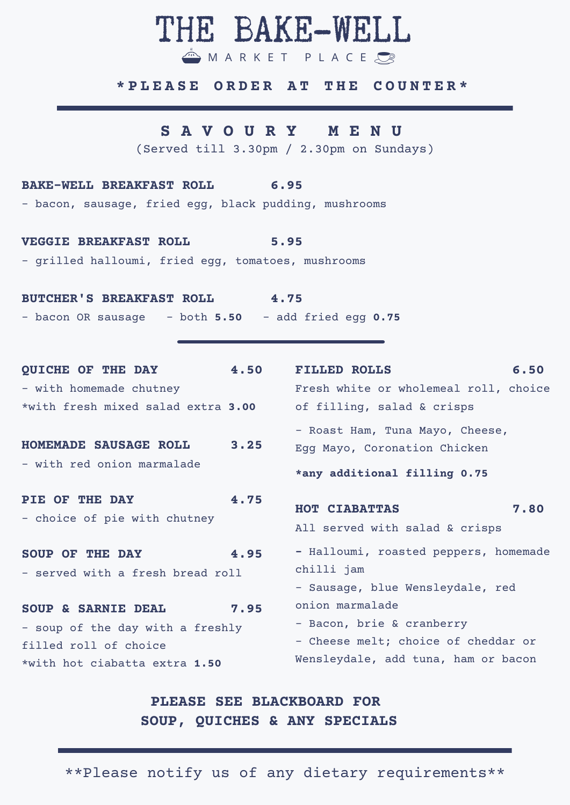# THE BAKE-WELL

M A R K E T P L A C E

#### **\* P L E A S E O R D E R A T T H E C O U N T E R \***

### **S A V O U R Y M E N U**

(Served till 3.30pm / 2.30pm on Sundays)

#### **BAKE-WELL BREAKFAST ROLL 6.95**

- bacon, sausage, fried egg, black pudding, mushrooms

**VEGGIE BREAKFAST ROLL 5.95**

- grilled halloumi, fried egg, tomatoes, mushrooms

**BUTCHER'S BREAKFAST ROLL 4.75** - bacon OR sausage - both **5.50** - add fried egg **0.75**

**QUICHE OF THE DAY 4.50** - with homemade chutney \*with fresh mixed salad extra **3.00 HOMEMADE SAUSAGE ROLL 3.25** - with red onion marmalade **PIE OF THE DAY 4.75** - choice of pie with chutney **SOUP OF THE DAY 4.95** - served with a fresh bread roll **SOUP & SARNIE DEAL 7.95** - soup of the day with a freshly filled roll of choice \*with hot ciabatta extra **1.50 FILLED ROLLS 6.50** Fresh white or wholemeal roll, choice of filling, salad & crisps - Roast Ham, Tuna Mayo, Cheese, Egg Mayo, Coronation Chicken **\*any additional filling 0.75 HOT CIABATTAS 7.80** All served with salad & crisps **-** Halloumi, roasted peppers, homemade chilli jam - Sausage, blue Wensleydale, red onion marmalade - Bacon, brie & cranberry - Cheese melt; choice of cheddar or Wensleydale, add tuna, ham or bacon

## **PLEASE SEE BLACKBOARD FOR SOUP, QUICHES & ANY SPECIALS**

\*\*Please notify us of any dietary requirements\*\*